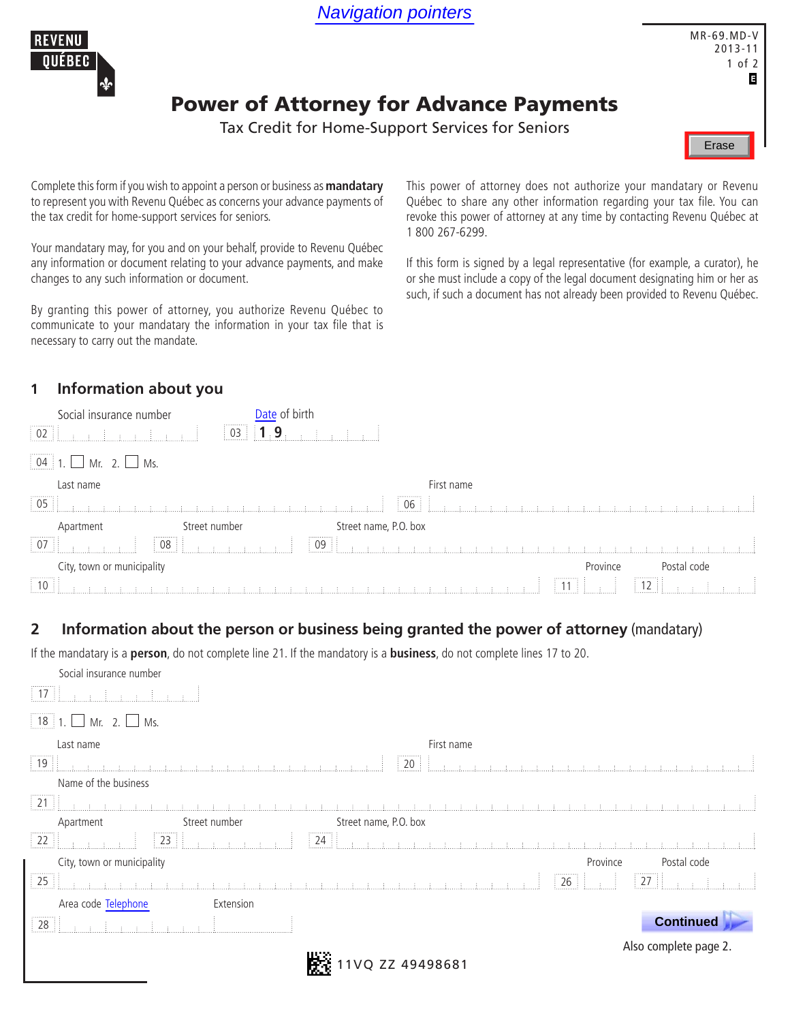Navigation pointers



Erase

## Power of Attorney for Advance Payments

Tax Credit for Home-Support Services for Seniors

Complete this form if you wish to appoint a person or business as **mandatary**  to represent you with Revenu Québec as concerns your advance payments of the tax credit for home-support services for seniors.

Your mandatary may, for you and on your behalf, provide to Revenu Québec any information or document relating to your advance payments, and make changes to any such information or document.

By granting this power of attorney, you authorize Revenu Québec to communicate to your mandatary the information in your tax file that is necessary to carry out the mandate.

This power of attorney does not authorize your mandatary or Revenu Québec to share any other information regarding your tax file. You can revoke this power of attorney at any time by contacting Revenu Québec at 1 800 267-6299.

If this form is signed by a legal representative (for example, a curator), he or she must include a copy of the legal document designating him or her as such, if such a document has not already been provided to Revenu Québec.

## **1 Information about you**

| Social insurance number    |                  | te of birth           |            |          |                            |  |
|----------------------------|------------------|-----------------------|------------|----------|----------------------------|--|
| <br>$\frac{1}{2}$ 02       | $\frac{1}{2}$ 03 | 9                     |            |          |                            |  |
|                            |                  |                       |            |          |                            |  |
| Last name                  |                  |                       | First name |          |                            |  |
| $\frac{1}{2}$ 05           |                  |                       | 06         |          |                            |  |
| Apartment                  | Street number    | Street name, P.O. box |            |          |                            |  |
| $\boxed{07}$               | .<br>08          | .<br>09               |            |          |                            |  |
| City, town or municipality |                  |                       |            | Province | Postal code                |  |
| $\boxed{10}$               |                  |                       |            | -11      | $\parallel$ 12 $\parallel$ |  |

## **2 Information about the person or business being granted the power of attorney** (mandatary)

If the mandatary is a **person**, do not complete line 21. If the mandatory is a **business**, do not complete lines 17 to 20.

| Social insurance number          |                                                                                                                                                                                                                                |
|----------------------------------|--------------------------------------------------------------------------------------------------------------------------------------------------------------------------------------------------------------------------------|
| $\vert$ 17 $\vert$               |                                                                                                                                                                                                                                |
| $\Box$ Mr. 2. $\Box$ Ms.         |                                                                                                                                                                                                                                |
| Last name                        | First name                                                                                                                                                                                                                     |
| $\boxed{19}$                     | <br>20                                                                                                                                                                                                                         |
| Name of the business             |                                                                                                                                                                                                                                |
| $\boxed{21}$                     | the control of the control of the control and the control of the control of the control of the control of the control of the control of the control of the control of the control of the control of the control of the control |
| Street number<br>Apartment       | Street name, P.O. box                                                                                                                                                                                                          |
| $\overline{22}$                  | $\boxed{24}$<br><b>SECRET BERRY</b>                                                                                                                                                                                            |
| City, town or municipality       | Province<br>Postal code                                                                                                                                                                                                        |
| $\overline{25}$                  | .<br>.<br>$\frac{1}{27}$<br>26<br>a carrier and a carrier                                                                                                                                                                      |
| Area code Telephone<br>Extension |                                                                                                                                                                                                                                |
| 28                               | <b>Continued</b>                                                                                                                                                                                                               |
|                                  | Also complete page 2.                                                                                                                                                                                                          |
|                                  | ZZ 49498681                                                                                                                                                                                                                    |